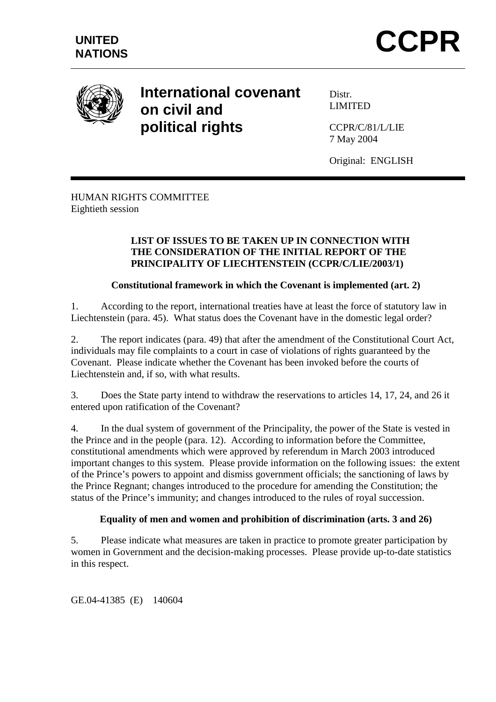

# **International covenant on civil and political rights**

Distr. LIMITED

CCPR/C/81/L/LIE 7 May 2004

Original: ENGLISH

# HUMAN RIGHTS COMMITTEE Eightieth session

### **LIST OF ISSUES TO BE TAKEN UP IN CONNECTION WITH THE CONSIDERATION OF THE INITIAL REPORT OF THE PRINCIPALITY OF LIECHTENSTEIN (CCPR/C/LIE/2003/1)**

# **Constitutional framework in which the Covenant is implemented (art. 2)**

1. According to the report, international treaties have at least the force of statutory law in Liechtenstein (para. 45). What status does the Covenant have in the domestic legal order?

2. The report indicates (para. 49) that after the amendment of the Constitutional Court Act, individuals may file complaints to a court in case of violations of rights guaranteed by the Covenant. Please indicate whether the Covenant has been invoked before the courts of Liechtenstein and, if so, with what results.

3. Does the State party intend to withdraw the reservations to articles 14, 17, 24, and 26 it entered upon ratification of the Covenant?

4. In the dual system of government of the Principality, the power of the State is vested in the Prince and in the people (para. 12). According to information before the Committee, constitutional amendments which were approved by referendum in March 2003 introduced important changes to this system. Please provide information on the following issues: the extent of the Prince's powers to appoint and dismiss government officials; the sanctioning of laws by the Prince Regnant; changes introduced to the procedure for amending the Constitution; the status of the Prince's immunity; and changes introduced to the rules of royal succession.

# **Equality of men and women and prohibition of discrimination (arts. 3 and 26)**

5. Please indicate what measures are taken in practice to promote greater participation by women in Government and the decision-making processes. Please provide up-to-date statistics in this respect.

GE.04-41385 (E) 140604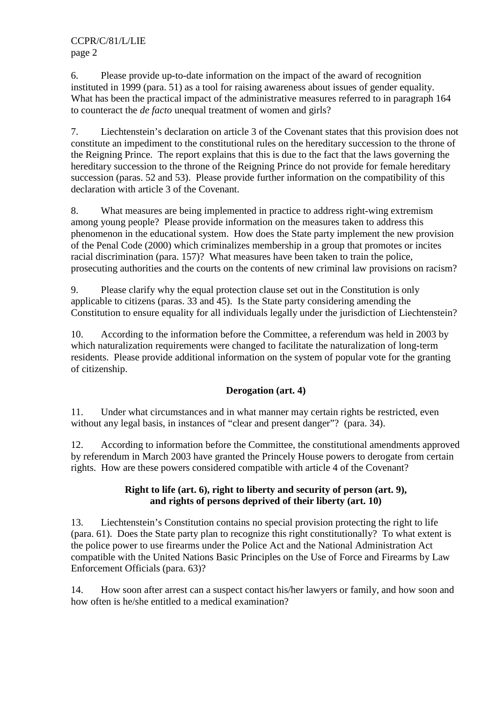CCPR/C/81/L/LIE page 2

6. Please provide up-to-date information on the impact of the award of recognition instituted in 1999 (para. 51) as a tool for raising awareness about issues of gender equality. What has been the practical impact of the administrative measures referred to in paragraph 164 to counteract the *de facto* unequal treatment of women and girls?

7. Liechtenstein's declaration on article 3 of the Covenant states that this provision does not constitute an impediment to the constitutional rules on the hereditary succession to the throne of the Reigning Prince. The report explains that this is due to the fact that the laws governing the hereditary succession to the throne of the Reigning Prince do not provide for female hereditary succession (paras. 52 and 53). Please provide further information on the compatibility of this declaration with article 3 of the Covenant.

8. What measures are being implemented in practice to address right-wing extremism among young people? Please provide information on the measures taken to address this phenomenon in the educational system. How does the State party implement the new provision of the Penal Code (2000) which criminalizes membership in a group that promotes or incites racial discrimination (para. 157)? What measures have been taken to train the police, prosecuting authorities and the courts on the contents of new criminal law provisions on racism?

9. Please clarify why the equal protection clause set out in the Constitution is only applicable to citizens (paras. 33 and 45). Is the State party considering amending the Constitution to ensure equality for all individuals legally under the jurisdiction of Liechtenstein?

10. According to the information before the Committee, a referendum was held in 2003 by which naturalization requirements were changed to facilitate the naturalization of long-term residents. Please provide additional information on the system of popular vote for the granting of citizenship.

# **Derogation (art. 4)**

11. Under what circumstances and in what manner may certain rights be restricted, even without any legal basis, in instances of "clear and present danger"? (para. 34).

12. According to information before the Committee, the constitutional amendments approved by referendum in March 2003 have granted the Princely House powers to derogate from certain rights. How are these powers considered compatible with article 4 of the Covenant?

### **Right to life (art. 6), right to liberty and security of person (art. 9), and rights of persons deprived of their liberty (art. 10)**

13. Liechtenstein's Constitution contains no special provision protecting the right to life (para. 61). Does the State party plan to recognize this right constitutionally? To what extent is the police power to use firearms under the Police Act and the National Administration Act compatible with the United Nations Basic Principles on the Use of Force and Firearms by Law Enforcement Officials (para. 63)?

14. How soon after arrest can a suspect contact his/her lawyers or family, and how soon and how often is he/she entitled to a medical examination?